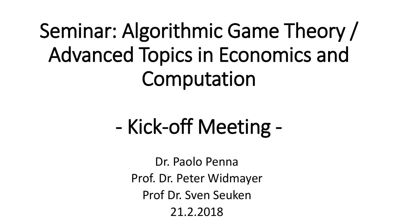# Seminar: Algorithmic Game Theory / Advanced Topics in Economics and Computation

# - Kick-off Meeting -

Dr. Paolo Penna Prof. Dr. Peter Widmayer Prof Dr. Sven Seuken 21.2.2018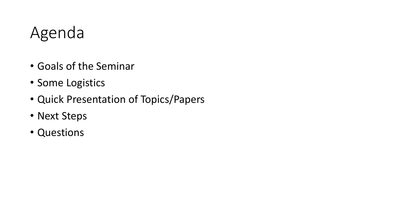#### Agenda

- Goals of the Seminar
- Some Logistics
- Quick Presentation of Topics/Papers
- Next Steps
- Questions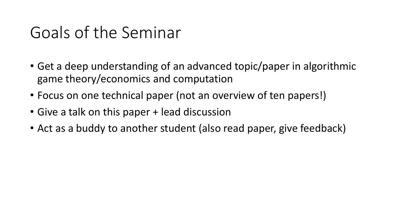#### Goals of the Seminar

- Get a deep understanding of an advanced topic/paper in algorithmic game theory/economics and computation
- Focus on one technical paper (not an overview of ten papers!)
- Give a talk on this paper + lead discussion
- Act as a buddy to another student (also read paper, give feedback)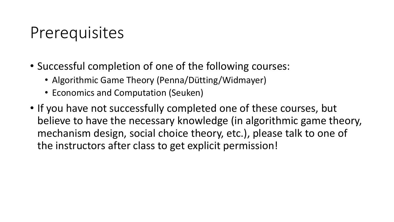#### Prerequisites

- Successful completion of one of the following courses:
	- Algorithmic Game Theory (Penna/Dütting/Widmayer)
	- Economics and Computation (Seuken)
- If you have not successfully completed one of these courses, but believe to have the necessary knowledge (in algorithmic game theory, mechanism design, social choice theory, etc.), please talk to one of the instructors after class to get explicit permission!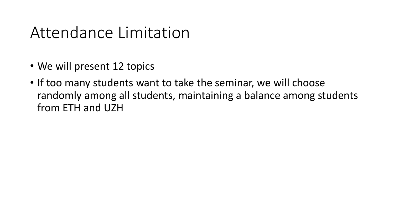#### Attendance Limitation

- We will present 12 topics
- If too many students want to take the seminar, we will choose randomly among all students, maintaining a balance among students from ETH and UZH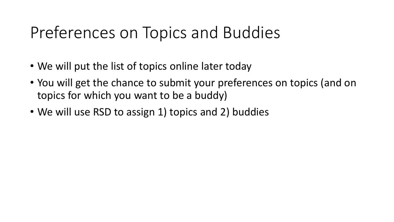### Preferences on Topics and Buddies

- We will put the list of topics online later today
- You will get the chance to submit your preferences on topics (and on topics for which you want to be a buddy)
- We will use RSD to assign 1) topics and 2) buddies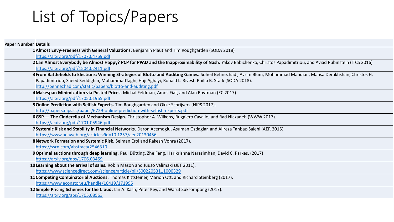### List of Topics/Papers

| <b>Paper Number Details</b>                                                                                                                                                                                                                                                                                                                  |
|----------------------------------------------------------------------------------------------------------------------------------------------------------------------------------------------------------------------------------------------------------------------------------------------------------------------------------------------|
| 1 Almost Envy-Freeness with General Valuations. Benjamin Plaut and Tim Roughgarden (SODA 2018)<br>https://arxiv.org/pdf/1707.04769.pdf                                                                                                                                                                                                       |
| 2 Can Almost Everybody be Almost Happy? PCP for PPAD and the Inapproximability of Nash. Yakov Babichenko, Christos Papadimitriou, and Aviad Rubinstein (ITCS 2016)<br>https://arxiv.org/pdf/1504.02411.pdf                                                                                                                                   |
| 3 From Battlefields to Elections: Winning Strategies of Blotto and Auditing Games. Soheil Behnezhad, Avrim Blum, Mohammad Mahdian, Mahsa Derakhshan, Christos H.<br>Papadimitriou, Saeed Seddighin, MohammadTaghi, Haji Aghayi, Ronald L. Rivest, Philip B. Stark (SODA 2018).<br>http://behnezhad.com/static/papers/blotto-and-auditing.pdf |
| 4 Makespan Minimization via Posted Prices. Michal Feldman, Amos Fiat, and Alan Roytman (EC 2017).<br>https://arxiv.org/pdf/1705.01965.pdf                                                                                                                                                                                                    |
| 5 Online Prediction with Selfish Experts. Tim Roughgarden and Okke Schrijvers (NIPS 2017).<br>http://papers.nips.cc/paper/6729-online-prediction-with-selfish-experts.pdf                                                                                                                                                                    |
| 6GSP — The Cinderella of Mechanism Design. Christopher A. Wilkens, Ruggiero Cavallo, and Rad Niazadeh (WWW 2017).<br>https://arxiv.org/pdf/1701.05946.pdf                                                                                                                                                                                    |
| 7 Systemic Risk and Stability in Financial Networks. Daron Acemoglu, Asuman Ozdaglar, and Alireza Tahbaz-Salehi (AER 2015)<br>https://www.aeaweb.org/articles?id=10.1257/aer.20130456                                                                                                                                                        |
| 8 Network Formation and Systemic Risk. Selman Erol and Rakesh Vohra (2017).<br>https://ssrn.com/abstract=2546310                                                                                                                                                                                                                             |
| 9 Optimal auctions through deep learning. Paul Dütting, Zhe Feng, Harikrishna Narasimhan, David C. Parkes. (2017)<br>https://arxiv.org/abs/1706.03459                                                                                                                                                                                        |
| 10 Learning about the arrival of sales. Robin Mason and Juuso Valimaki (JET 2011).<br>https://www.sciencedirect.com/science/article/pii/S0022053111000329                                                                                                                                                                                    |
| 11 Competing Combinatorial Auctions. Thomas Kittsteiner, Marion Ott, and Richard Steinberg (2017).<br>https://www.econstor.eu/handle/10419/171995                                                                                                                                                                                            |
| 12 Simple Pricing Schemes for the Cloud. Ian A. Kash, Peter Key, and Warut Suksompong (2017).<br>https://arxiv.org/abs/1705.08563                                                                                                                                                                                                            |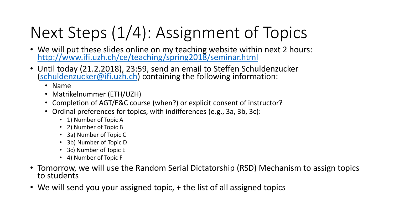# Next Steps (1/4): Assignment of Topics

- We will put these slides online on my teaching website within next 2 hours: <http://www.ifi.uzh.ch/ce/teaching/spring2018/seminar.html>
- Until today (21.2.2018), 23:59, send an email to Steffen Schuldenzucker ([schuldenzucker@ifi.uzh.ch\)](mailto:schuldenzucker@ifi.uzh.ch) containing the following information:
	- Name
	- Matrikelnummer (ETH/UZH)
	- Completion of AGT/E&C course (when?) or explicit consent of instructor?
	- Ordinal preferences for topics, with indifferences (e.g., 3a, 3b, 3c):
		- 1) Number of Topic A
		- 2) Number of Topic B
		- 3a) Number of Topic C
		- 3b) Number of Topic D
		- 3c) Number of Topic E
		- 4) Number of Topic F
- Tomorrow, we will use the Random Serial Dictatorship (RSD) Mechanism to assign topics to students
- We will send you your assigned topic, + the list of all assigned topics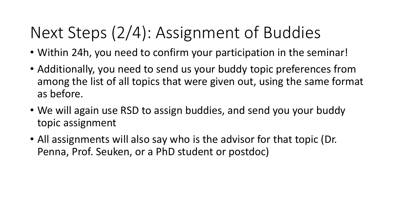## Next Steps (2/4): Assignment of Buddies

- Within 24h, you need to confirm your participation in the seminar!
- Additionally, you need to send us your buddy topic preferences from among the list of all topics that were given out, using the same format as before.
- We will again use RSD to assign buddies, and send you your buddy topic assignment
- All assignments will also say who is the advisor for that topic (Dr. Penna, Prof. Seuken, or a PhD student or postdoc)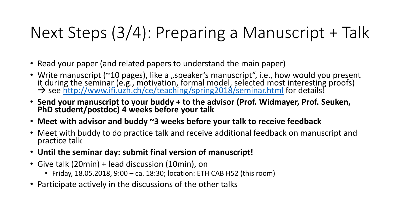## Next Steps (3/4): Preparing a Manuscript + Talk

- Read your paper (and related papers to understand the main paper)
- Write manuscript (~10 pages), like a "speaker's manuscript", i.e., how would you present it during the seminar (e.g., motivation, formal model, selected most interesting proofs) > see<http://www.ifi.uzh.ch/ce/teaching/spring2018/seminar.html> for details!
- **Send your manuscript to your buddy + to the advisor (Prof. Widmayer, Prof. Seuken, PhD student/postdoc) 4 weeks before your talk**
- **Meet with advisor and buddy ~3 weeks before your talk to receive feedback**
- Meet with buddy to do practice talk and receive additional feedback on manuscript and practice talk
- **Until the seminar day: submit final version of manuscript!**
- Give talk (20min) + lead discussion (10min), on
	- Friday, 18.05.2018, 9:00 ca. 18:30; location: ETH CAB H52 (this room)
- Participate actively in the discussions of the other talks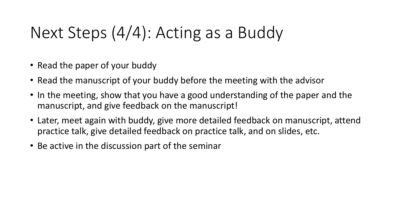### Next Steps (4/4): Acting as a Buddy

- Read the paper of your buddy
- Read the manuscript of your buddy before the meeting with the advisor
- In the meeting, show that you have a good understanding of the paper and the manuscript, and give feedback on the manuscript!
- Later, meet again with buddy, give more detailed feedback on manuscript, attend practice talk, give detailed feedback on practice talk, and on slides, etc.
- Be active in the discussion part of the seminar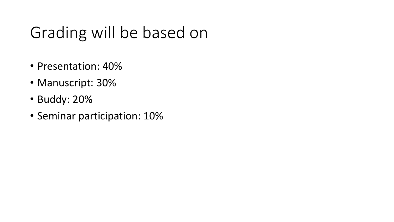#### Grading will be based on

- Presentation: 40%
- Manuscript: 30%
- Buddy: 20%
- Seminar participation: 10%